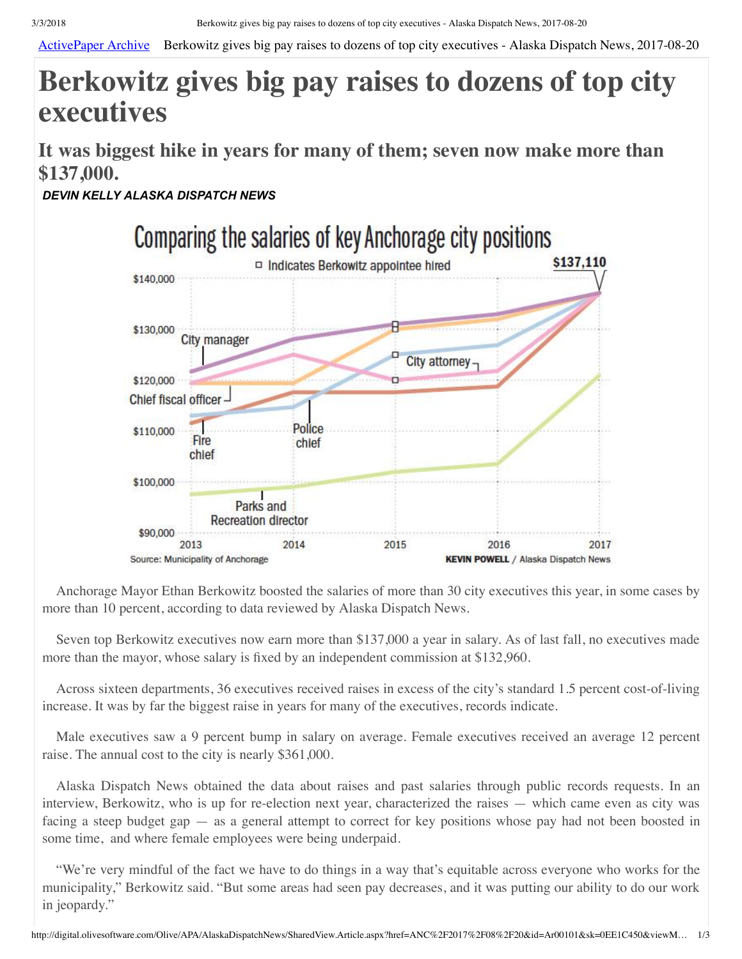[ActivePaper Archive](http://digital.olivesoftware.com/olive/apa/alaskadispatchnews/?href=ANC%2F2017%2F08%2F20&page=1&entityId=Ar00101) Berkowitz gives big pay raises to dozens of top city executives - Alaska Dispatch News, 2017-08-20

## **Berkowitz gives big pay raises to dozens of top city executives**

**It was biggest hike in years for many of them; seven now make more than \$137,000.**

*DEVIN KELLY ALASKA DISPATCH NEWS*



Anchorage Mayor Ethan Berkowitz boosted the salaries of more than 30 city executives this year, in some cases by more than 10 percent, according to data reviewed by Alaska Dispatch News.

Seven top Berkowitz executives now earn more than \$137,000 a year in salary. As of last fall, no executives made more than the mayor, whose salary is fixed by an independent commission at \$132,960.

Across sixteen departments, 36 executives received raises in excess of the city's standard 1.5 percent cost-of-living increase. It was by far the biggest raise in years for many of the executives, records indicate.

Male executives saw a 9 percent bump in salary on average. Female executives received an average 12 percent raise. The annual cost to the city is nearly \$361,000.

Alaska Dispatch News obtained the data about raises and past salaries through public records requests. In an interview, Berkowitz, who is up for re-election next year, characterized the raises — which came even as city was facing a steep budget gap — as a general attempt to correct for key positions whose pay had not been boosted in some time, and where female employees were being underpaid.

"We're very mindful of the fact we have to do things in a way that's equitable across everyone who works for the municipality," Berkowitz said. "But some areas had seen pay decreases, and it was putting our ability to do our work in jeopardy."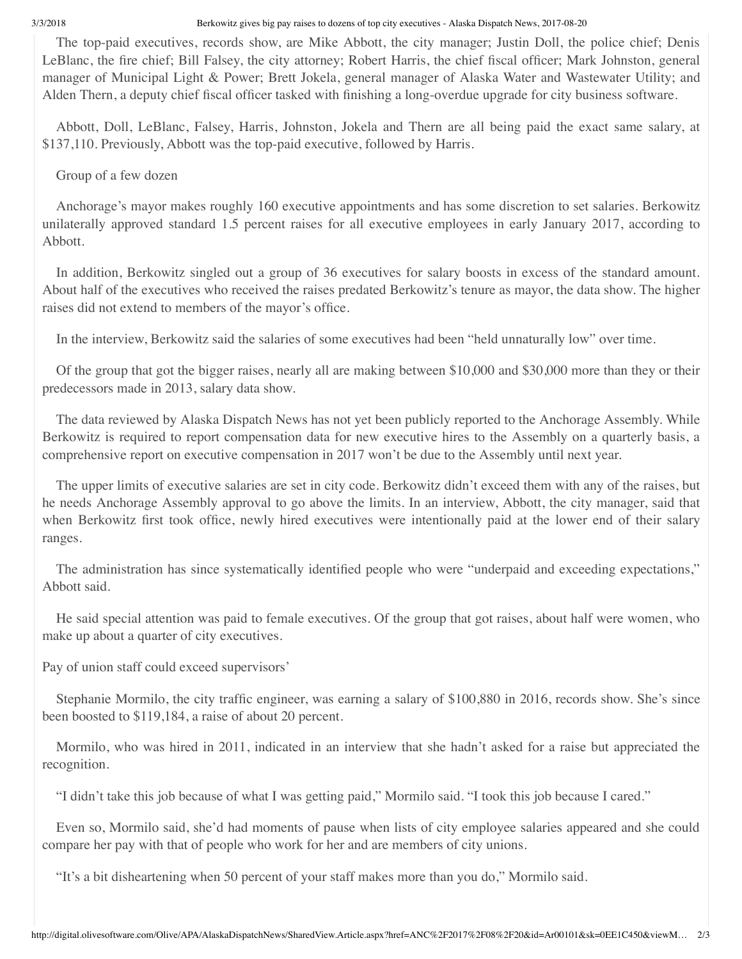3/3/2018 Berkowitz gives big pay raises to dozens of top city executives - Alaska Dispatch News, 2017-08-20

The top-paid executives, records show, are Mike Abbott, the city manager; Justin Doll, the police chief; Denis LeBlanc, the fire chief; Bill Falsey, the city attorney; Robert Harris, the chief fiscal officer; Mark Johnston, general manager of Municipal Light & Power; Brett Jokela, general manager of Alaska Water and Wastewater Utility; and Alden Thern, a deputy chief fiscal officer tasked with finishing a long-overdue upgrade for city business software.

Abbott, Doll, LeBlanc, Falsey, Harris, Johnston, Jokela and Thern are all being paid the exact same salary, at \$137,110. Previously, Abbott was the top-paid executive, followed by Harris.

Group of a few dozen

Anchorage's mayor makes roughly 160 executive appointments and has some discretion to set salaries. Berkowitz unilaterally approved standard 1.5 percent raises for all executive employees in early January 2017, according to Abbott.

In addition, Berkowitz singled out a group of 36 executives for salary boosts in excess of the standard amount. About half of the executives who received the raises predated Berkowitz's tenure as mayor, the data show. The higher raises did not extend to members of the mayor's office.

In the interview, Berkowitz said the salaries of some executives had been "held unnaturally low" over time.

Of the group that got the bigger raises, nearly all are making between \$10,000 and \$30,000 more than they or their predecessors made in 2013, salary data show.

The data reviewed by Alaska Dispatch News has not yet been publicly reported to the Anchorage Assembly. While Berkowitz is required to report compensation data for new executive hires to the Assembly on a quarterly basis, a comprehensive report on executive compensation in 2017 won't be due to the Assembly until next year.

The upper limits of executive salaries are set in city code. Berkowitz didn't exceed them with any of the raises, but he needs Anchorage Assembly approval to go above the limits. In an interview, Abbott, the city manager, said that when Berkowitz first took office, newly hired executives were intentionally paid at the lower end of their salary ranges.

The administration has since systematically identified people who were "underpaid and exceeding expectations," Abbott said.

He said special attention was paid to female executives. Of the group that got raises, about half were women, who make up about a quarter of city executives.

Pay of union staff could exceed supervisors'

Stephanie Mormilo, the city traffic engineer, was earning a salary of \$100,880 in 2016, records show. She's since been boosted to \$119,184, a raise of about 20 percent.

Mormilo, who was hired in 2011, indicated in an interview that she hadn't asked for a raise but appreciated the recognition.

"I didn't take this job because of what I was getting paid," Mormilo said. "I took this job because I cared."

Even so, Mormilo said, she'd had moments of pause when lists of city employee salaries appeared and she could compare her pay with that of people who work for her and are members of city unions.

"It's a bit disheartening when 50 percent of your staff makes more than you do," Mormilo said.